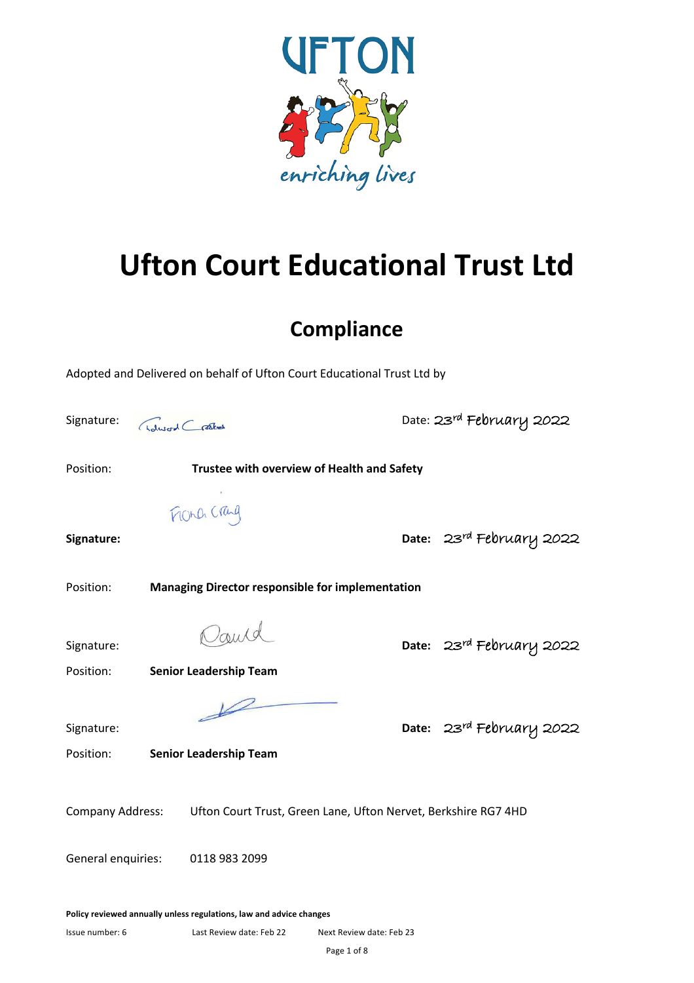

# **Ufton Court Educational Trust Ltd**

## **Compliance**

|                                                                                           | Adopted and Delivered on behalf of Ufton Court Educational Trust Ltd by |  |                          |
|-------------------------------------------------------------------------------------------|-------------------------------------------------------------------------|--|--------------------------|
| Signature:                                                                                | Adword Crashed                                                          |  | Date: 23rd February 2022 |
| Position:                                                                                 | Trustee with overview of Health and Safety                              |  |                          |
|                                                                                           | FROND Craig                                                             |  |                          |
| Signature:                                                                                |                                                                         |  | Date: 23rd February 2022 |
| Position:<br><b>Managing Director responsible for implementation</b>                      |                                                                         |  |                          |
| Signature:                                                                                | Cauld                                                                   |  | Date: 23rd February 2022 |
| Position:                                                                                 | <b>Senior Leadership Team</b>                                           |  |                          |
| Signature:<br>Position:                                                                   | <b>Senior Leadership Team</b>                                           |  | Date: 23rd February 2022 |
| <b>Company Address:</b><br>Ufton Court Trust, Green Lane, Ufton Nervet, Berkshire RG7 4HD |                                                                         |  |                          |
| General enquiries:<br>0118 983 2099                                                       |                                                                         |  |                          |
|                                                                                           | Rolley rovioured annually unless requistions, low and advise shopes     |  |                          |

**Policy reviewed annually unless regulations, law and advice changes**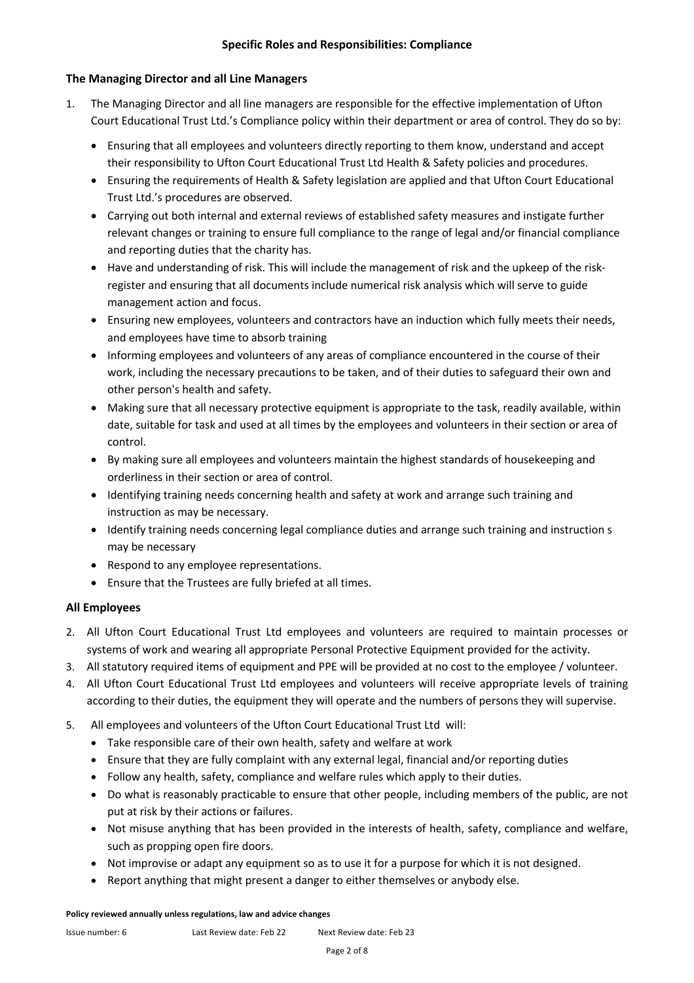#### **The Managing Director and all Line Managers**

- 1. The Managing Director and all line managers are responsible for the effective implementation of Ufton Court Educational Trust Ltd.'s Compliance policy within their department or area of control. They do so by:
	- Ensuring that all employees and volunteers directly reporting to them know, understand and accept their responsibility to Ufton Court Educational Trust Ltd Health & Safety policies and procedures.
	- Ensuring the requirements of Health & Safety legislation are applied and that Ufton Court Educational Trust Ltd.'s procedures are observed.
	- Carrying out both internal and external reviews of established safety measures and instigate further relevant changes or training to ensure full compliance to the range of legal and/or financial compliance and reporting duties that the charity has.
	- Have and understanding of risk. This will include the management of risk and the upkeep of the riskregister and ensuring that all documents include numerical risk analysis which will serve to guide management action and focus.
	- Ensuring new employees, volunteers and contractors have an induction which fully meets their needs, and employees have time to absorb training
	- Informing employees and volunteers of any areas of compliance encountered in the course of their work, including the necessary precautions to be taken, and of their duties to safeguard their own and other person's health and safety.
	- Making sure that all necessary protective equipment is appropriate to the task, readily available, within date, suitable for task and used at all times by the employees and volunteers in their section or area of control.
	- By making sure all employees and volunteers maintain the highest standards of housekeeping and orderliness in their section or area of control.
	- Identifying training needs concerning health and safety at work and arrange such training and instruction as may be necessary.
	- Identify training needs concerning legal compliance duties and arrange such training and instruction s may be necessary
	- Respond to any employee representations.
	- Ensure that the Trustees are fully briefed at all times.

#### **All Employees**

- 2. All Ufton Court Educational Trust Ltd employees and volunteers are required to maintain processes or systems of work and wearing all appropriate Personal Protective Equipment provided for the activity.
- 3. All statutory required items of equipment and PPE will be provided at no cost to the employee / volunteer.
- 4. All Ufton Court Educational Trust Ltd employees and volunteers will receive appropriate levels of training according to their duties, the equipment they will operate and the numbers of persons they will supervise.
- 5. All employees and volunteers of the Ufton Court Educational Trust Ltd will:
	- Take responsible care of their own health, safety and welfare at work
	- Ensure that they are fully complaint with any external legal, financial and/or reporting duties
	- Follow any health, safety, compliance and welfare rules which apply to their duties.
	- Do what is reasonably practicable to ensure that other people, including members of the public, are not put at risk by their actions or failures.
	- Not misuse anything that has been provided in the interests of health, safety, compliance and welfare, such as propping open fire doors.
	- Not improvise or adapt any equipment so as to use it for a purpose for which it is not designed.
	- Report anything that might present a danger to either themselves or anybody else.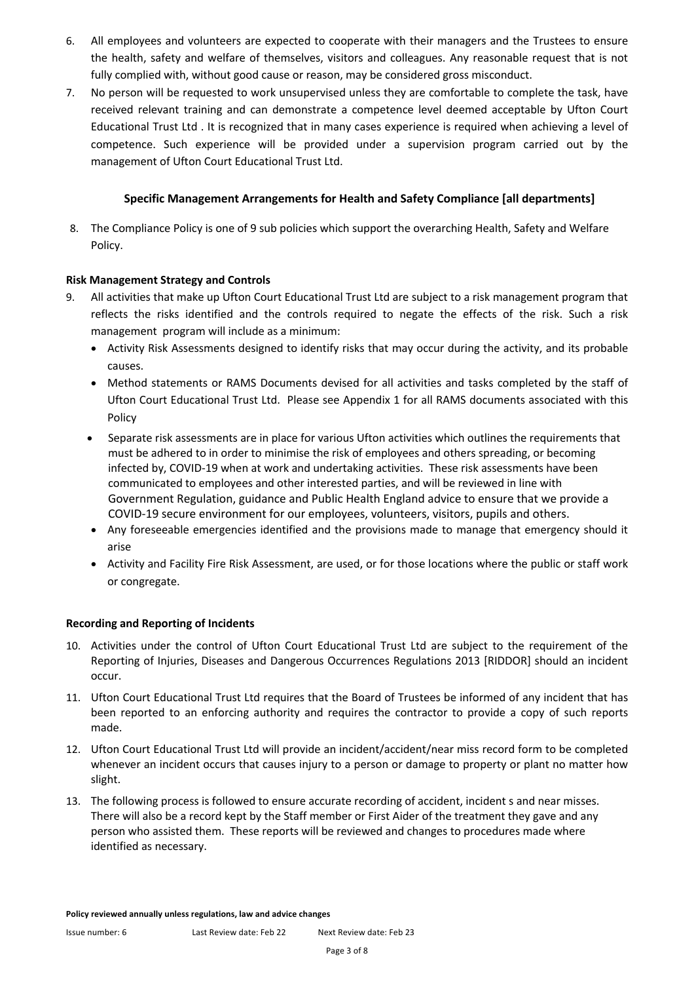- 6. All employees and volunteers are expected to cooperate with their managers and the Trustees to ensure the health, safety and welfare of themselves, visitors and colleagues. Any reasonable request that is not fully complied with, without good cause or reason, may be considered gross misconduct.
- 7. No person will be requested to work unsupervised unless they are comfortable to complete the task, have received relevant training and can demonstrate a competence level deemed acceptable by Ufton Court Educational Trust Ltd . It is recognized that in many cases experience is required when achieving a level of competence. Such experience will be provided under a supervision program carried out by the management of Ufton Court Educational Trust Ltd.

#### **Specific Management Arrangements for Health and Safety Compliance [all departments]**

8. The Compliance Policy is one of 9 sub policies which support the overarching Health, Safety and Welfare Policy.

#### **Risk Management Strategy and Controls**

- 9. All activities that make up Ufton Court Educational Trust Ltd are subject to a risk management program that reflects the risks identified and the controls required to negate the effects of the risk. Such a risk management program will include as a minimum:
	- Activity Risk Assessments designed to identify risks that may occur during the activity, and its probable causes.
	- Method statements or RAMS Documents devised for all activities and tasks completed by the staff of Ufton Court Educational Trust Ltd. Please see Appendix 1 for all RAMS documents associated with this Policy
	- Separate risk assessments are in place for various Ufton activities which outlines the requirements that must be adhered to in order to minimise the risk of employees and others spreading, or becoming infected by, COVID-19 when at work and undertaking activities. These risk assessments have been communicated to employees and other interested parties, and will be reviewed in line with Government Regulation, guidance and Public Health England advice to ensure that we provide a COVID-19 secure environment for our employees, volunteers, visitors, pupils and others.
	- Any foreseeable emergencies identified and the provisions made to manage that emergency should it arise
	- Activity and Facility Fire Risk Assessment, are used, or for those locations where the public or staff work or congregate.

#### **Recording and Reporting of Incidents**

- 10. Activities under the control of Ufton Court Educational Trust Ltd are subject to the requirement of the Reporting of Injuries, Diseases and Dangerous Occurrences Regulations 2013 [RIDDOR] should an incident occur.
- 11. Ufton Court Educational Trust Ltd requires that the Board of Trustees be informed of any incident that has been reported to an enforcing authority and requires the contractor to provide a copy of such reports made.
- 12. Ufton Court Educational Trust Ltd will provide an incident/accident/near miss record form to be completed whenever an incident occurs that causes injury to a person or damage to property or plant no matter how slight.
- 13. The following process is followed to ensure accurate recording of accident, incident s and near misses. There will also be a record kept by the Staff member or First Aider of the treatment they gave and any person who assisted them. These reports will be reviewed and changes to procedures made where identified as necessary.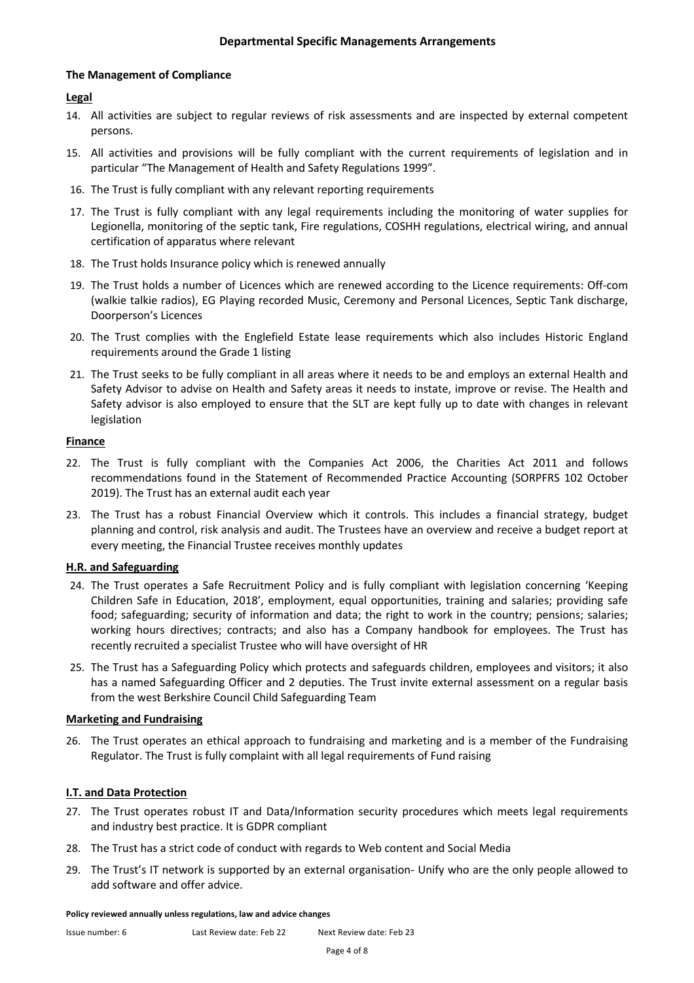#### **The Management of Compliance**

#### **Legal**

- 14. All activities are subject to regular reviews of risk assessments and are inspected by external competent persons.
- 15. All activities and provisions will be fully compliant with the current requirements of legislation and in particular "The Management of Health and Safety Regulations 1999".
- 16. The Trust is fully compliant with any relevant reporting requirements
- 17. The Trust is fully compliant with any legal requirements including the monitoring of water supplies for Legionella, monitoring of the septic tank, Fire regulations, COSHH regulations, electrical wiring, and annual certification of apparatus where relevant
- 18. The Trust holds Insurance policy which is renewed annually
- 19. The Trust holds a number of Licences which are renewed according to the Licence requirements: Off-com (walkie talkie radios), EG Playing recorded Music, Ceremony and Personal Licences, Septic Tank discharge, Doorperson's Licences
- 20. The Trust complies with the Englefield Estate lease requirements which also includes Historic England requirements around the Grade 1 listing
- 21. The Trust seeks to be fully compliant in all areas where it needs to be and employs an external Health and Safety Advisor to advise on Health and Safety areas it needs to instate, improve or revise. The Health and Safety advisor is also employed to ensure that the SLT are kept fully up to date with changes in relevant legislation

#### **Finance**

- 22. The Trust is fully compliant with the Companies Act 2006, the Charities Act 2011 and follows recommendations found in the Statement of Recommended Practice Accounting (SORPFRS 102 October 2019). The Trust has an external audit each year
- 23. The Trust has a robust Financial Overview which it controls. This includes a financial strategy, budget planning and control, risk analysis and audit. The Trustees have an overview and receive a budget report at every meeting, the Financial Trustee receives monthly updates

#### **H.R. and Safeguarding**

- 24. The Trust operates a Safe Recruitment Policy and is fully compliant with legislation concerning 'Keeping Children Safe in Education, 2018', employment, equal opportunities, training and salaries; providing safe food; safeguarding; security of information and data; the right to work in the country; pensions; salaries; working hours directives; contracts; and also has a Company handbook for employees. The Trust has recently recruited a specialist Trustee who will have oversight of HR
- 25. The Trust has a Safeguarding Policy which protects and safeguards children, employees and visitors; it also has a named Safeguarding Officer and 2 deputies. The Trust invite external assessment on a regular basis from the west Berkshire Council Child Safeguarding Team

#### **Marketing and Fundraising**

26. The Trust operates an ethical approach to fundraising and marketing and is a member of the Fundraising Regulator. The Trust is fully complaint with all legal requirements of Fund raising

#### **I.T. and Data Protection**

- 27. The Trust operates robust IT and Data/Information security procedures which meets legal requirements and industry best practice. It is GDPR compliant
- 28. The Trust has a strict code of conduct with regards to Web content and Social Media
- 29. The Trust's IT network is supported by an external organisation- Unify who are the only people allowed to add software and offer advice.

#### **Policy reviewed annually unless regulations, law and advice changes**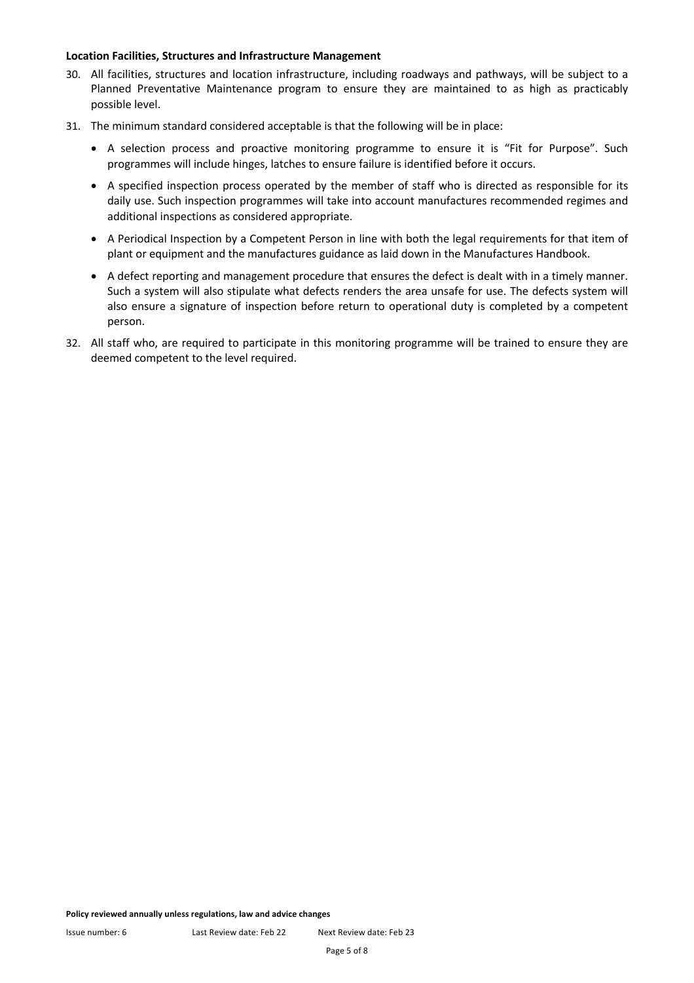#### **Location Facilities, Structures and Infrastructure Management**

- 30. All facilities, structures and location infrastructure, including roadways and pathways, will be subject to a Planned Preventative Maintenance program to ensure they are maintained to as high as practicably possible level.
- 31. The minimum standard considered acceptable is that the following will be in place:
	- A selection process and proactive monitoring programme to ensure it is "Fit for Purpose". Such programmes will include hinges, latches to ensure failure is identified before it occurs.
	- A specified inspection process operated by the member of staff who is directed as responsible for its daily use. Such inspection programmes will take into account manufactures recommended regimes and additional inspections as considered appropriate.
	- A Periodical Inspection by a Competent Person in line with both the legal requirements for that item of plant or equipment and the manufactures guidance as laid down in the Manufactures Handbook.
	- A defect reporting and management procedure that ensures the defect is dealt with in a timely manner. Such a system will also stipulate what defects renders the area unsafe for use. The defects system will also ensure a signature of inspection before return to operational duty is completed by a competent person.
- 32. All staff who, are required to participate in this monitoring programme will be trained to ensure they are deemed competent to the level required.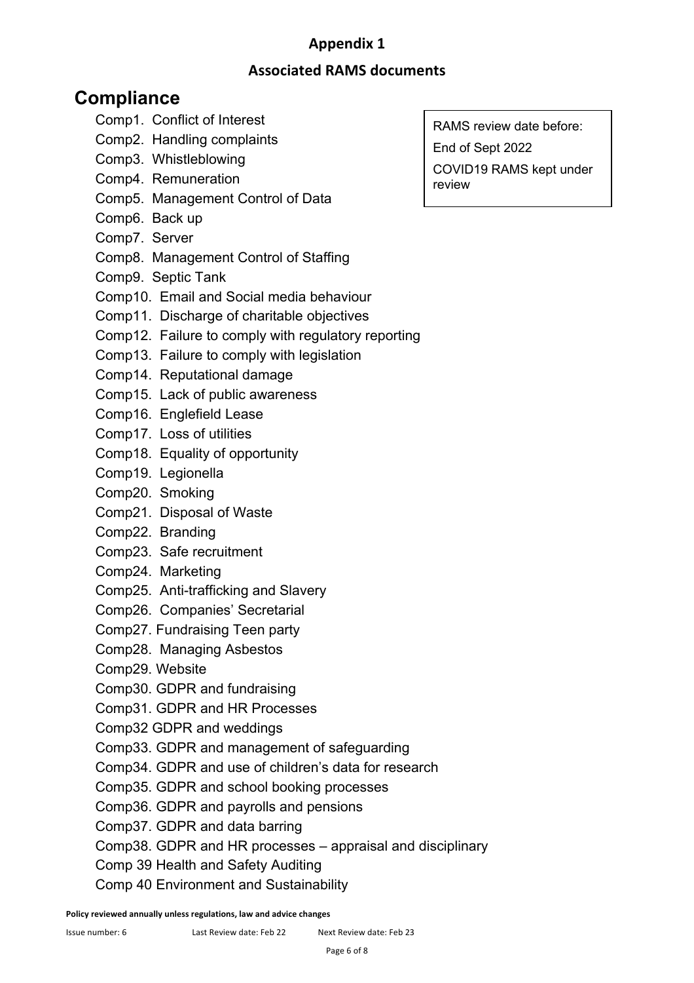## **Appendix 1**

### **Associated RAMS documents**

## **Compliance**

- Comp1. Conflict of Interest
- Comp2. Handling complaints
- Comp3. Whistleblowing
- Comp4. Remuneration
- Comp5. Management Control of Data
- Comp6. Back up
- Comp7. Server
- Comp8. Management Control of Staffing
- Comp9. Septic Tank
- Comp10. Email and Social media behaviour
- Comp11. Discharge of charitable objectives
- Comp12. Failure to comply with regulatory reporting
- Comp13. Failure to comply with legislation
- Comp14. Reputational damage
- Comp15. Lack of public awareness
- Comp16. Englefield Lease
- Comp17. Loss of utilities
- Comp18. Equality of opportunity
- Comp19. Legionella
- Comp20. Smoking
- Comp21. Disposal of Waste
- Comp22. Branding
- Comp23. Safe recruitment
- Comp24. Marketing
- Comp25. Anti-trafficking and Slavery
- Comp26. Companies' Secretarial
- Comp27. Fundraising Teen party
- Comp28. Managing Asbestos
- Comp29. Website
- Comp30. GDPR and fundraising
- Comp31. GDPR and HR Processes
- Comp32 GDPR and weddings
- Comp33. GDPR and management of safeguarding
- Comp34. GDPR and use of children's data for research
- Comp35. GDPR and school booking processes
- Comp36. GDPR and payrolls and pensions
- Comp37. GDPR and data barring
- Comp38. GDPR and HR processes appraisal and disciplinary
- Comp 39 Health and Safety Auditing
- Comp 40 Environment and Sustainability

RAMS review date before: End of Sept 2022 COVID19 RAMS kept under review

 $\overline{a}$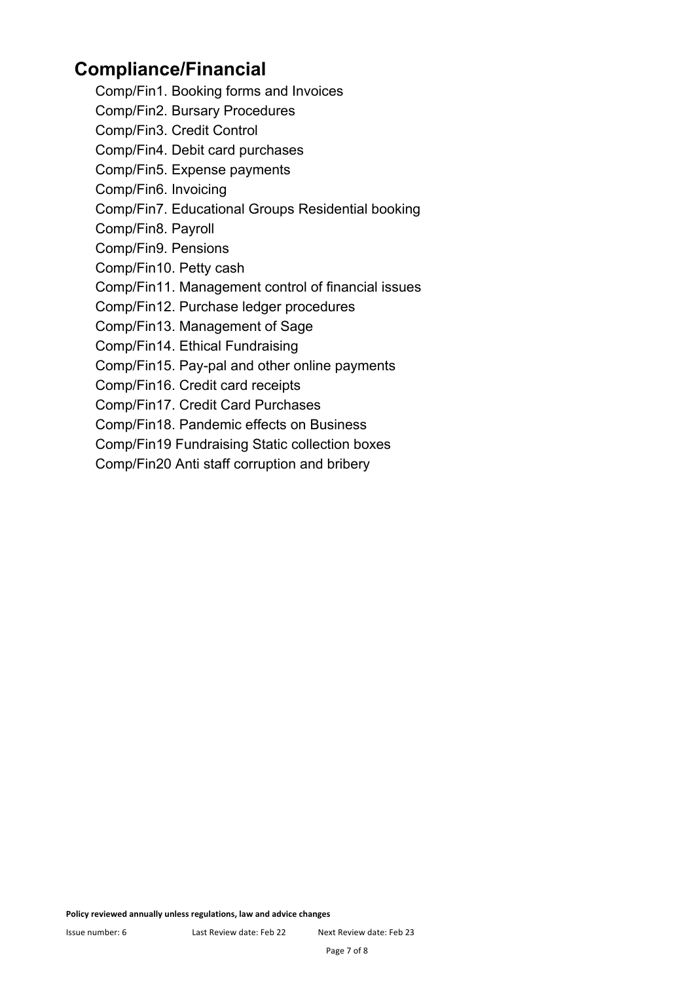## **Compliance/Financial**

- Comp/Fin1. Booking forms and Invoices
- Comp/Fin2. Bursary Procedures
- Comp/Fin3. Credit Control
- Comp/Fin4. Debit card purchases
- Comp/Fin5. Expense payments
- Comp/Fin6. Invoicing
- Comp/Fin7. Educational Groups Residential booking
- Comp/Fin8. Payroll
- Comp/Fin9. Pensions
- Comp/Fin10. Petty cash
- Comp/Fin11. Management control of financial issues
- Comp/Fin12. Purchase ledger procedures
- Comp/Fin13. Management of Sage
- Comp/Fin14. Ethical Fundraising
- Comp/Fin15. Pay-pal and other online payments
- Comp/Fin16. Credit card receipts
- Comp/Fin17. Credit Card Purchases
- Comp/Fin18. Pandemic effects on Business
- Comp/Fin19 Fundraising Static collection boxes
- Comp/Fin20 Anti staff corruption and bribery